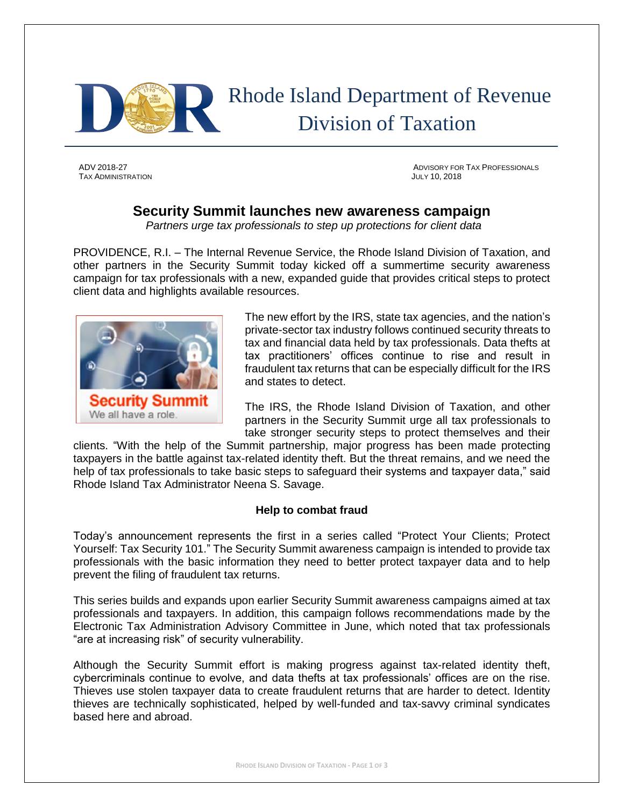

## Rhode Island Department of Revenue Division of Taxation

TAX ADMINISTRATION JULY 10, 2018

ADV 2018-27 ADVISORY FOR TAX PROFESSIONALS

## **Security Summit launches new awareness campaign**

*Partners urge tax professionals to step up protections for client data*

PROVIDENCE, R.I. – The Internal Revenue Service, the Rhode Island Division of Taxation, and other partners in the Security Summit today kicked off a summertime security awareness campaign for tax professionals with a new, expanded guide that provides critical steps to protect client data and highlights available resources.



The new effort by the IRS, state tax agencies, and the nation's private-sector tax industry follows continued security threats to tax and financial data held by tax professionals. Data thefts at tax practitioners' offices continue to rise and result in fraudulent tax returns that can be especially difficult for the IRS and states to detect.

The IRS, the Rhode Island Division of Taxation, and other partners in the Security Summit urge all tax professionals to take stronger security steps to protect themselves and their

clients. "With the help of the Summit partnership, major progress has been made protecting taxpayers in the battle against tax-related identity theft. But the threat remains, and we need the help of tax professionals to take basic steps to safeguard their systems and taxpayer data," said Rhode Island Tax Administrator Neena S. Savage.

## **Help to combat fraud**

Today's announcement represents the first in a series called "Protect Your Clients; Protect Yourself: Tax Security 101." The Security Summit awareness campaign is intended to provide tax professionals with the basic information they need to better protect taxpayer data and to help prevent the filing of fraudulent tax returns.

This series builds and expands upon earlier Security Summit awareness campaigns aimed at tax professionals and taxpayers. In addition, this campaign follows recommendations made by the Electronic Tax Administration Advisory Committee in June, which noted that tax professionals "are at increasing risk" of security vulnerability.

Although the Security Summit effort is making progress against tax-related identity theft, cybercriminals continue to evolve, and data thefts at tax professionals' offices are on the rise. Thieves use stolen taxpayer data to create fraudulent returns that are harder to detect. Identity thieves are technically sophisticated, helped by well-funded and tax-savvy criminal syndicates based here and abroad.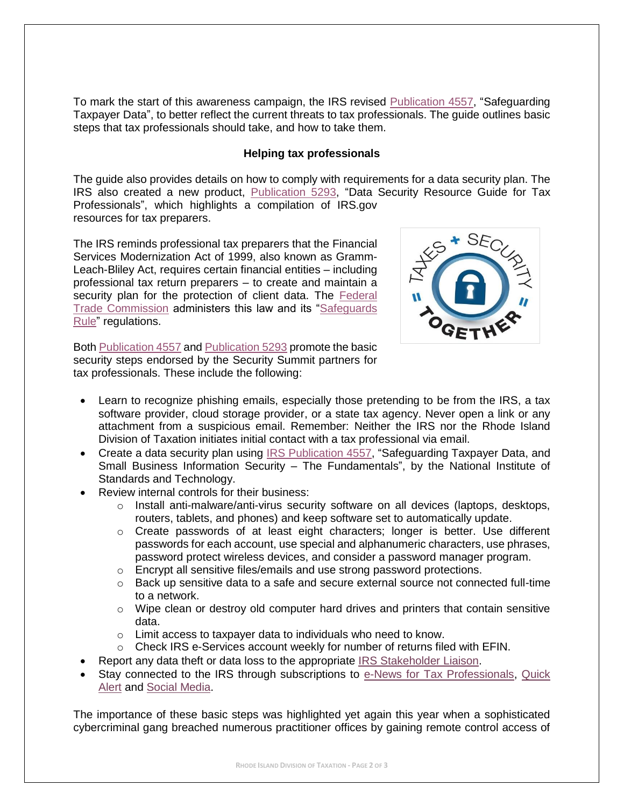To mark the start of this awareness campaign, the IRS revised [Publication 4557,](https://www.irs.gov/pub/irs-pdf/p4557.pdf) "Safeguarding Taxpayer Data", to better reflect the current threats to tax professionals. The guide outlines basic steps that tax professionals should take, and how to take them.

## **Helping tax professionals**

The guide also provides details on how to comply with requirements for a data security plan. The IRS also created a new product, [Publication 5293,](https://www.irs.gov/pub/irs-pdf/p5293.pdf) "Data Security Resource Guide for Tax Professionals", which highlights a compilation of IRS.gov resources for tax preparers.

The IRS reminds professional tax preparers that the Financial Services Modernization Act of 1999, also known as Gramm-Leach-Bliley Act, requires certain financial entities – including professional tax return preparers – to create and maintain a security plan for the protection of client data. The Federal [Trade Commission](http://www.ftc.gov/) administers this law and its ["Safeguards](https://www.ftc.gov/tips-advice/business-center/guidance/financial-institutions-customer-information-complying)  [Rule"](https://www.ftc.gov/tips-advice/business-center/guidance/financial-institutions-customer-information-complying) regulations.

 $+$  SEC

Both [Publication 4557](https://www.irs.gov/pub/irs-pdf/p4557.pdf) and [Publication 5293](https://www.irs.gov/pub/irs-pdf/p5293.pdf) promote the basic security steps endorsed by the Security Summit partners for tax professionals. These include the following:

- Learn to recognize phishing emails, especially those pretending to be from the IRS, a tax software provider, cloud storage provider, or a state tax agency. Never open a link or any attachment from a suspicious email. Remember: Neither the IRS nor the Rhode Island Division of Taxation initiates initial contact with a tax professional via email.
- Create a data security plan using [IRS Publication 4557,](https://www.irs.gov/pub/irs-pdf/p4557.pdf) "Safeguarding Taxpayer Data, and [Small Business Information Security –](http://nvlpubs.nist.gov/nistpubs/ir/2016/NIST.IR.7621r1.pdf) The Fundamentals", by the National Institute of Standards and Technology.
- Review internal controls for their business:
	- $\circ$  Install anti-malware/anti-virus security software on all devices (laptops, desktops, routers, tablets, and phones) and keep software set to automatically update.
	- o Create passwords of at least eight characters; longer is better. Use different passwords for each account, use special and alphanumeric characters, use phrases, password protect wireless devices, and consider a password manager program.
	- $\circ$  Encrypt all sensitive files/emails and use strong password protections.
	- $\circ$  Back up sensitive data to a safe and secure external source not connected full-time to a network.
	- $\circ$  Wipe clean or destroy old computer hard drives and printers that contain sensitive data.
	- o Limit access to taxpayer data to individuals who need to know.
	- $\circ$  Check IRS e-Services account weekly for number of returns filed with EFIN.
- Report any data theft or data loss to the appropriate [IRS Stakeholder Liaison.](https://www.irs.gov/businesses/small-businesses-self-employed/stakeholder-liaison-local-contacts)
- Stay connected to the IRS through subscriptions to [e-News for Tax Professionals,](https://www.irs.gov/e-file-providers/join-e-news-for-tax-professionals) Quick [Alert](https://www.irs.gov/e-file-providers/subscribe-to-quick-alerts) and [Social Media.](https://www.irs.gov/newsroom/irs-new-media-1)

The importance of these basic steps was highlighted yet again this year when a sophisticated cybercriminal gang breached numerous practitioner offices by gaining remote control access of